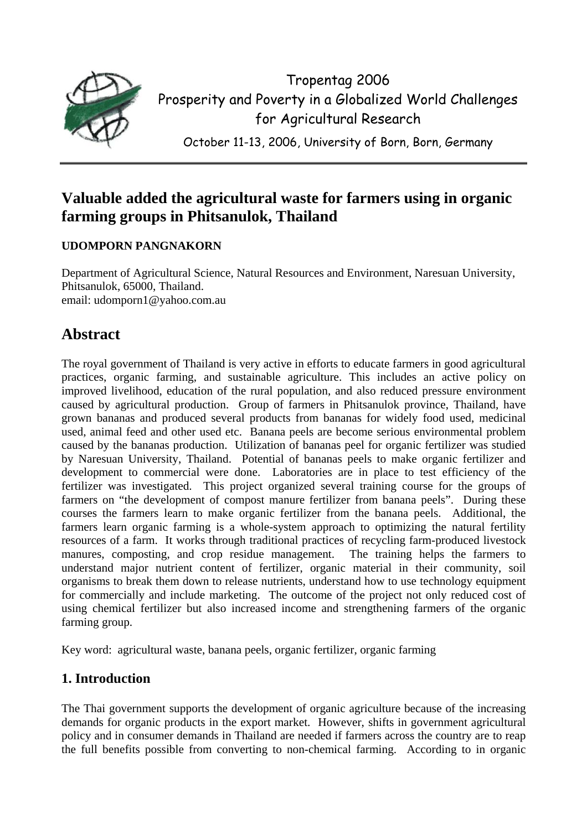

Tropentag 2006 Prosperity and Poverty in a Globalized World Challenges for Agricultural Research

October 11-13, 2006, University of Born, Born, Germany

# **Valuable added the agricultural waste for farmers using in organic farming groups in Phitsanulok, Thailand**

## **UDOMPORN PANGNAKORN**

Department of Agricultural Science, Natural Resources and Environment, Naresuan University, Phitsanulok, 65000, Thailand. email: udomporn1@yahoo.com.au

# **Abstract**

The royal government of Thailand is very active in efforts to educate farmers in good agricultural practices, organic farming, and sustainable agriculture. This includes an active policy on improved livelihood, education of the rural population, and also reduced pressure environment caused by agricultural production. Group of farmers in Phitsanulok province, Thailand, have grown bananas and produced several products from bananas for widely food used, medicinal used, animal feed and other used etc. Banana peels are become serious environmental problem caused by the bananas production. Utilization of bananas peel for organic fertilizer was studied by Naresuan University, Thailand. Potential of bananas peels to make organic fertilizer and development to commercial were done. Laboratories are in place to test efficiency of the fertilizer was investigated. This project organized several training course for the groups of farmers on "the development of compost manure fertilizer from banana peels". During these courses the farmers learn to make organic fertilizer from the banana peels. Additional, the farmers learn organic farming is a whole-system approach to optimizing the natural fertility resources of a farm. It works through traditional practices of recycling farm-produced livestock manures, composting, and crop residue management. The training helps the farmers to understand major nutrient content of fertilizer, organic material in their community, soil organisms to break them down to release nutrients, understand how to use technology equipment for commercially and include marketing. The outcome of the project not only reduced cost of using chemical fertilizer but also increased income and strengthening farmers of the organic farming group.

Key word: agricultural waste, banana peels, organic fertilizer, organic farming

## **1. Introduction**

The Thai government supports the development of organic agriculture because of the increasing demands for organic products in the export market. However, shifts in government agricultural policy and in consumer demands in Thailand are needed if farmers across the country are to reap the full benefits possible from converting to non-chemical farming. According to in organic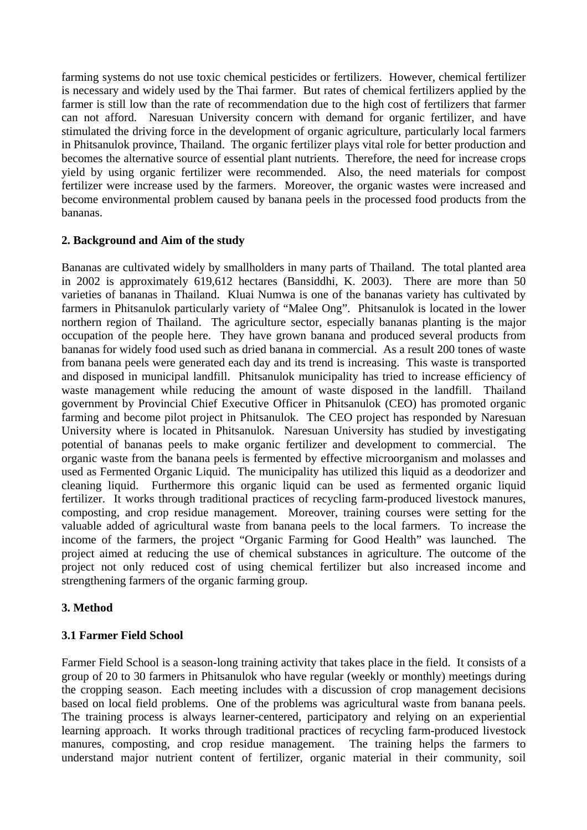farming systems do not use toxic chemical pesticides or fertilizers. However, chemical fertilizer is necessary and widely used by the Thai farmer. But rates of chemical fertilizers applied by the farmer is still low than the rate of recommendation due to the high cost of fertilizers that farmer can not afford. Naresuan University concern with demand for organic fertilizer, and have stimulated the driving force in the development of organic agriculture, particularly local farmers in Phitsanulok province, Thailand. The organic fertilizer plays vital role for better production and becomes the alternative source of essential plant nutrients. Therefore, the need for increase crops yield by using organic fertilizer were recommended. Also, the need materials for compost fertilizer were increase used by the farmers. Moreover, the organic wastes were increased and become environmental problem caused by banana peels in the processed food products from the bananas.

### **2. Background and Aim of the study**

Bananas are cultivated widely by smallholders in many parts of Thailand. The total planted area in 2002 is approximately 619,612 hectares (Bansiddhi, K. 2003). There are more than 50 varieties of bananas in Thailand. Kluai Numwa is one of the bananas variety has cultivated by farmers in Phitsanulok particularly variety of "Malee Ong". Phitsanulok is located in the lower northern region of Thailand. The agriculture sector, especially bananas planting is the major occupation of the people here. They have grown banana and produced several products from bananas for widely food used such as dried banana in commercial. As a result 200 tones of waste from banana peels were generated each day and its trend is increasing. This waste is transported and disposed in municipal landfill. Phitsanulok municipality has tried to increase efficiency of waste management while reducing the amount of waste disposed in the landfill. Thailand government by Provincial Chief Executive Officer in Phitsanulok (CEO) has promoted organic farming and become pilot project in Phitsanulok. The CEO project has responded by Naresuan University where is located in Phitsanulok. Naresuan University has studied by investigating potential of bananas peels to make organic fertilizer and development to commercial. The organic waste from the banana peels is fermented by effective microorganism and molasses and used as Fermented Organic Liquid. The municipality has utilized this liquid as a deodorizer and cleaning liquid. Furthermore this organic liquid can be used as fermented organic liquid fertilizer. It works through traditional practices of recycling farm-produced livestock manures, composting, and crop residue management. Moreover, training courses were setting for the valuable added of agricultural waste from banana peels to the local farmers. To increase the income of the farmers, the project "Organic Farming for Good Health" was launched. The project aimed at reducing the use of chemical substances in agriculture. The outcome of the project not only reduced cost of using chemical fertilizer but also increased income and strengthening farmers of the organic farming group.

## **3. Method**

#### **3.1 Farmer Field School**

Farmer Field School is a season-long training activity that takes place in the field. It consists of a group of 20 to 30 farmers in Phitsanulok who have regular (weekly or monthly) meetings during the cropping season. Each meeting includes with a discussion of crop management decisions based on local field problems. One of the problems was agricultural waste from banana peels. The training process is always learner-centered, participatory and relying on an experiential learning approach. It works through traditional practices of recycling farm-produced livestock manures, composting, and crop residue management. The training helps the farmers to understand major nutrient content of fertilizer, organic material in their community, soil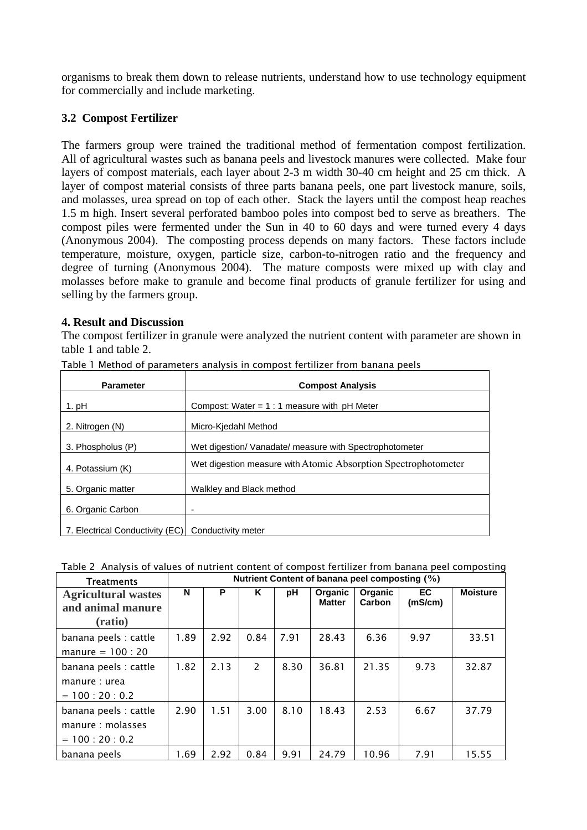organisms to break them down to release nutrients, understand how to use technology equipment for commercially and include marketing.

## **3.2 Compost Fertilizer**

The farmers group were trained the traditional method of fermentation compost fertilization. All of agricultural wastes such as banana peels and livestock manures were collected. Make four layers of compost materials, each layer about 2-3 m width 30-40 cm height and 25 cm thick. A layer of compost material consists of three parts banana peels, one part livestock manure, soils, and molasses, urea spread on top of each other. Stack the layers until the compost heap reaches 1.5 m high. Insert several perforated bamboo poles into compost bed to serve as breathers. The compost piles were fermented under the Sun in 40 to 60 days and were turned every 4 days (Anonymous 2004). The composting process depends on many factors. These factors include temperature, moisture, oxygen, particle size, carbon-to-nitrogen ratio and the frequency and degree of turning (Anonymous 2004). The mature composts were mixed up with clay and molasses before make to granule and become final products of granule fertilizer for using and selling by the farmers group.

### **4. Result and Discussion**

The compost fertilizer in granule were analyzed the nutrient content with parameter are shown in table 1 and table 2.

| <b>Parameter</b>                | <b>Compost Analysis</b>                                        |  |  |  |  |  |
|---------------------------------|----------------------------------------------------------------|--|--|--|--|--|
| 1. pH                           | Compost: Water = $1:1$ measure with pH Meter                   |  |  |  |  |  |
| 2. Nitrogen (N)                 | Micro-Kjedahl Method                                           |  |  |  |  |  |
| 3. Phospholus (P)               | Wet digestion/ Vanadate/ measure with Spectrophotometer        |  |  |  |  |  |
| 4. Potassium (K)                | Wet digestion measure with Atomic Absorption Spectrophotometer |  |  |  |  |  |
| 5. Organic matter               | Walkley and Black method                                       |  |  |  |  |  |
| 6. Organic Carbon               |                                                                |  |  |  |  |  |
| 7. Electrical Conductivity (EC) | Conductivity meter                                             |  |  |  |  |  |

Table 1 Method of parameters analysis in compost fertilizer from banana peels

|  |  | Table 2 Analysis of values of nutrient content of compost fertilizer from banana peel composting |
|--|--|--------------------------------------------------------------------------------------------------|
|--|--|--------------------------------------------------------------------------------------------------|

| <b>Treatments</b>                                           | Nutrient Content of banana peel composting (%) |      |                          |      |                                 |                   |                |                 |  |
|-------------------------------------------------------------|------------------------------------------------|------|--------------------------|------|---------------------------------|-------------------|----------------|-----------------|--|
| <b>Agricultural wastes</b><br>and animal manure<br>(ratio)  | N                                              | P    | Κ                        | рH   | <b>Organic</b><br><b>Matter</b> | Organic<br>Carbon | EC.<br>(mS/cm) | <b>Moisture</b> |  |
| banana peels : cattle<br>manure $= 100 : 20$                | 1.89                                           | 2.92 | 0.84                     | 7.91 | 28.43                           | 6.36              | 9.97           | 33.51           |  |
| banana peels : cattle<br>manure : urea<br>$= 100:20:0.2$    | 1.82                                           | 2.13 | $\overline{\phantom{0}}$ | 8.30 | 36.81                           | 21.35             | 9.73           | 32.87           |  |
| banana peels : cattle<br>manure: molasses<br>$= 100:20:0.2$ | 2.90                                           | 1.51 | 3.00                     | 8.10 | 18.43                           | 2.53              | 6.67           | 37.79           |  |
| banana peels                                                | 1.69                                           | 2.92 | 0.84                     | 9.91 | 24.79                           | 10.96             | 7.91           | 15.55           |  |